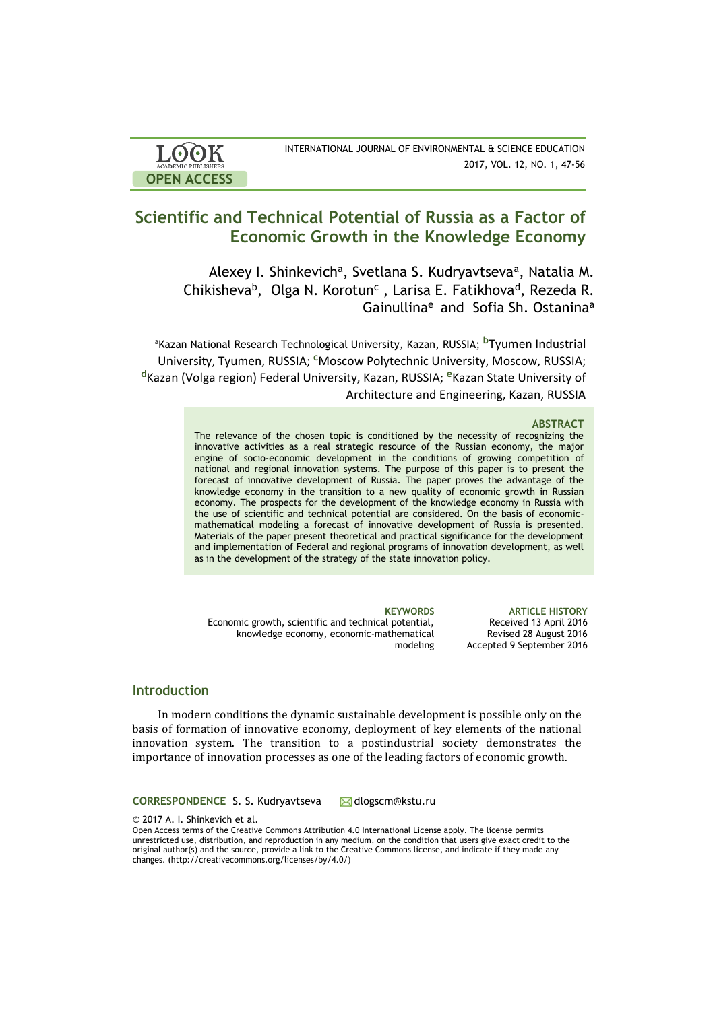| <b>LOOK</b>                | INTERNATIONAL JOURNAL OF ENVIRONMENTAL & SCIENCE EDUCATION |
|----------------------------|------------------------------------------------------------|
| <b>ACADEMIC PUBLISHERS</b> | 2017, VOL. 12, NO. 1, 47-56                                |
| <b>OPEN ACCESS</b>         |                                                            |

# **Scientific and Technical Potential of Russia as a Factor of Economic Growth in the Knowledge Economy**

Alexey I. Shinkevich<sup>a</sup>, Svetlana S. Kudryavtseva<sup>a</sup>, Natalia M. Chikisheva<sup>b</sup>, Olga N. Korotun<sup>c</sup>, Larisa E. Fatikhova<sup>d</sup>, Rezeda R. Gainullina<sup>e</sup> and Sofia Sh. Ostanina<sup>a</sup>

<sup>a</sup>Kazan National Research Technological University, Kazan, RUSSIA; **b**Tyumen Industrial University, Tyumen, RUSSIA; **c**Moscow Polytechnic University, Moscow, RUSSIA; **<sup>d</sup>**Kazan (Volga region) Federal University, Kazan, RUSSIA; **e**Kazan State University of Architecture and Engineering, Kazan, RUSSIA

#### **ABSTRACT**

The relevance of the chosen topic is conditioned by the necessity of recognizing the innovative activities as a real strategic resource of the Russian economy, the major engine of socio-economic development in the conditions of growing competition of national and regional innovation systems. The purpose of this paper is to present the forecast of innovative development of Russia. The paper proves the advantage of the knowledge economy in the transition to a new quality of economic growth in Russian economy. The prospects for the development of the knowledge economy in Russia with the use of scientific and technical potential are considered. On the basis of economicmathematical modeling a forecast of innovative development of Russia is presented. Materials of the paper present theoretical and practical significance for the development and implementation of Federal and regional programs of innovation development, as well as in the development of the strategy of the state innovation policy.

Economic growth, scientific and technical potential, knowledge economy, economic-mathematical modeling

**KEYWORDS ARTICLE HISTORY** Received 13 April 2016 Revised 28 August 2016 Accepted 9 September 2016

# **Introduction**

In modern conditions the dynamic sustainable development is possible only on the basis of formation of innovative economy, deployment of key elements of the national innovation system. The transition to a postindustrial society demonstrates the importance of innovation processes as one of the leading factors of economic growth.

**CORRESPONDENCE S. S. Kudryavtseva M** dlogscm@kstu.ru

© 2017 A. I. Shinkevich et al.

Open Access terms of the Creative Commons Attribution 4.0 International License apply. The license permits unrestricted use, distribution, and reproduction in any medium, on the condition that users give exact credit to the original author(s) and the source, provide a link to the Creative Commons license, and indicate if they made any changes. (http://creativecommons.org/licenses/by/4.0/)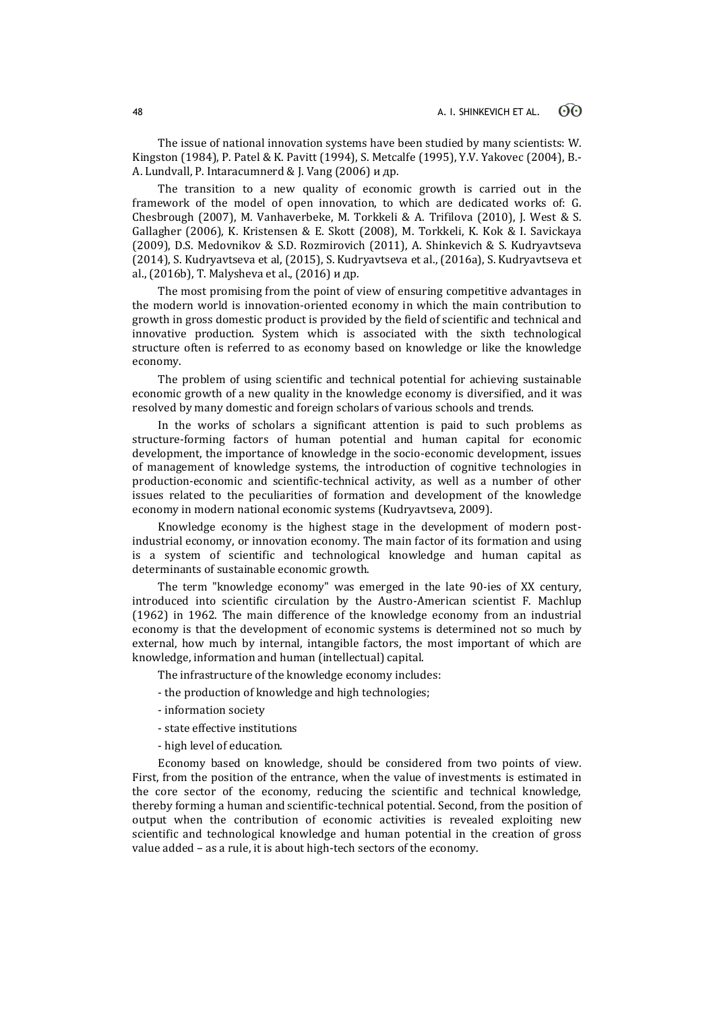The issue of national innovation systems have been studied by many scientists: W. Kingston (1984), P. Patel & K. Pavitt (1994), S. Metcalfe (1995), Y.V. Yakovec (2004), B.- A. Lundvall, P. Intaracumnerd & J. Vang (2006) и др.

The transition to a new quality of economic growth is carried out in the framework of the model of open innovation, to which are dedicated works of: G. Chesbrough (2007), М. Vanhaverbeke, M. Torkkeli & A. Trifilova (2010), J. West & S. Gallagher (2006), K. Kristensen & E. Skott (2008), M. Torkkeli, K. Kok & I. Savickaya (2009), D.S. Medovnikov & S.D. Rozmirovich (2011), A. Shinkevich & S. Kudryavtseva (2014), S. Kudryavtseva et al, (2015), S. Kudryavtseva et al., (2016a), S. Kudryavtseva et al., (2016b), T. Malysheva et al., (2016) и др.

The most promising from the point of view of ensuring competitive advantages in the modern world is innovation-oriented economy in which the main contribution to growth in gross domestic product is provided by the field of scientific and technical and innovative production. System which is associated with the sixth technological structure often is referred to as economy based on knowledge or like the knowledge economy.

The problem of using scientific and technical potential for achieving sustainable economic growth of a new quality in the knowledge economy is diversified, and it was resolved by many domestic and foreign scholars of various schools and trends.

In the works of scholars a significant attention is paid to such problems as structure-forming factors of human potential and human capital for economic development, the importance of knowledge in the socio-economic development, issues of management of knowledge systems, the introduction of cognitive technologies in production-economic and scientific-technical activity, as well as a number of other issues related to the peculiarities of formation and development of the knowledge economy in modern national economic systems (Kudryavtseva, 2009).

Knowledge economy is the highest stage in the development of modern postindustrial economy, or innovation economy. The main factor of its formation and using is a system of scientific and technological knowledge and human capital as determinants of sustainable economic growth.

The term "knowledge economy" was emerged in the late 90-ies of XX century, introduced into scientific circulation by the Austro-American scientist F. Machlup (1962) in 1962. The main difference of the knowledge economy from an industrial economy is that the development of economic systems is determined not so much by external, how much by internal, intangible factors, the most important of which are knowledge, information and human (intellectual) capital.

The infrastructure of the knowledge economy includes:

- the production of knowledge and high technologies;
- information society
- state effective institutions
- high level of education.

Economy based on knowledge, should be considered from two points of view. First, from the position of the entrance, when the value of investments is estimated in the core sector of the economy, reducing the scientific and technical knowledge, thereby forming a human and scientific-technical potential. Second, from the position of output when the contribution of economic activities is revealed exploiting new scientific and technological knowledge and human potential in the creation of gross value added – as a rule, it is about high-tech sectors of the economy.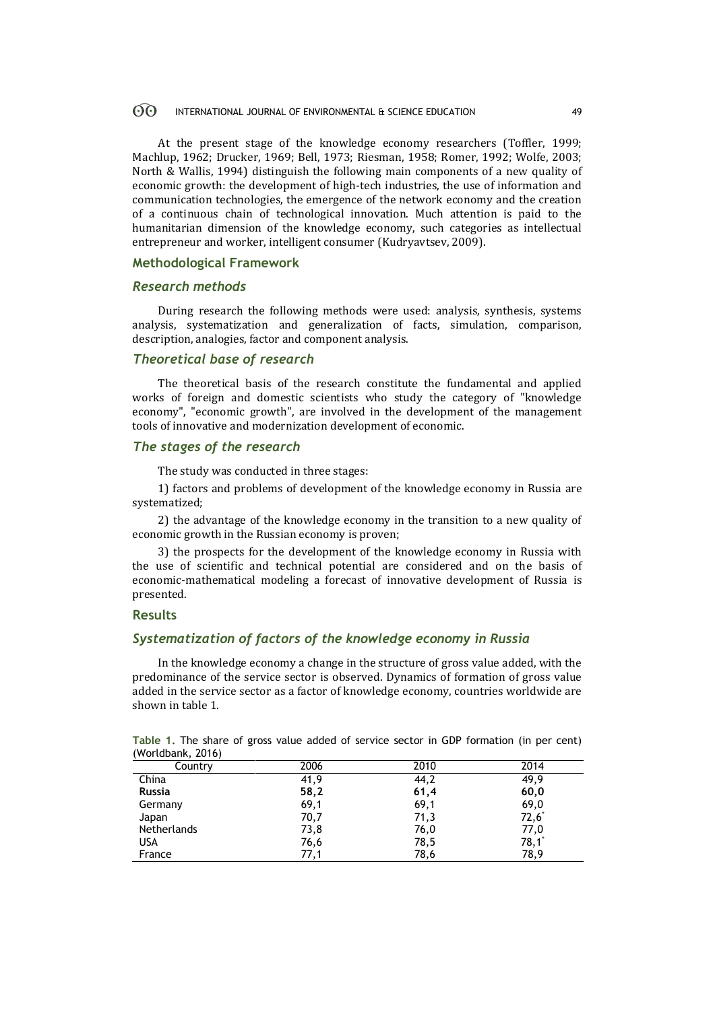#### $\odot$ INTERNATIONAL JOURNAL OF ENVIRONMENTAL & SCIENCE EDUCATION 49

At the present stage of the knowledge economy researchers (Toffler, 1999; Machlup, 1962; Drucker, 1969; Bell, 1973; Riesman, 1958; Romer, 1992; Wolfe, 2003; North & Wallis, 1994) distinguish the following main components of a new quality of economic growth: the development of high-tech industries, the use of information and communication technologies, the emergence of the network economy and the creation of a continuous chain of technological innovation. Much attention is paid to the humanitarian dimension of the knowledge economy, such categories as intellectual entrepreneur and worker, intelligent consumer (Kudryavtsev, 2009).

### **Methodological Framework**

## *Research methods*

During research the following methods were used: analysis, synthesis, systems analysis, systematization and generalization of facts, simulation, comparison, description, analogies, factor and component analysis.

# *Theoretical base of research*

The theoretical basis of the research constitute the fundamental and applied works of foreign and domestic scientists who study the category of "knowledge economy", "economic growth", are involved in the development of the management tools of innovative and modernization development of economic.

## *The stages of the research*

The study was conducted in three stages:

1) factors and problems of development of the knowledge economy in Russia are systematized;

2) the advantage of the knowledge economy in the transition to a new quality of economic growth in the Russian economy is proven;

3) the prospects for the development of the knowledge economy in Russia with the use of scientific and technical potential are considered and on the basis of economic-mathematical modeling a forecast of innovative development of Russia is presented.

### **Results**

# *Systematization of factors of the knowledge economy in Russia*

In the knowledge economy a change in the structure of gross value added, with the predominance of the service sector is observed. Dynamics of formation of gross value added in the service sector as a factor of knowledge economy, countries worldwide are shown in table 1.

| (WOrldDank, 2016)  |      |      |          |  |
|--------------------|------|------|----------|--|
| Country            | 2006 | 2010 | 2014     |  |
| China              | 41,9 | 44,2 | 49,9     |  |
| <b>Russia</b>      | 58,2 | 61,4 | 60,0     |  |
| Germany            | 69,1 | 69,1 | 69,0     |  |
| Japan              | 70,7 | 71,3 | $72,6^*$ |  |
| <b>Netherlands</b> | 73,8 | 76,0 | 77,0     |  |
| USA                | 76,6 | 78,5 | $78,1^*$ |  |
| France             | 77,1 | 78,6 | 78,9     |  |

**Table 1.** The share of gross value added of service sector in GDP formation (in per cent) (Worldbank, 2016)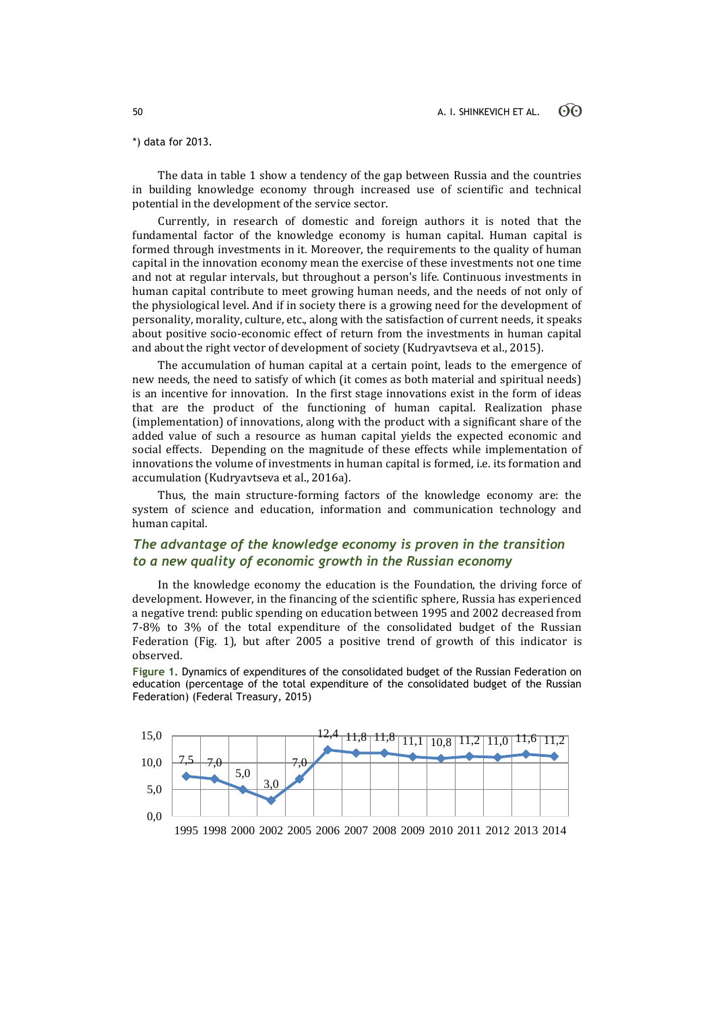# \*) data for 2013.

The data in table 1 show a tendency of the gap between Russia and the countries in building knowledge economy through increased use of scientific and technical potential in the development of the service sector.

Currently, in research of domestic and foreign authors it is noted that the fundamental factor of the knowledge economy is human capital. Human capital is formed through investments in it. Moreover, the requirements to the quality of human capital in the innovation economy mean the exercise of these investments not one time and not at regular intervals, but throughout a person's life. Continuous investments in human capital contribute to meet growing human needs, and the needs of not only of the physiological level. And if in society there is a growing need for the development of personality, morality, culture, etc., along with the satisfaction of current needs, it speaks about positive socio-economic effect of return from the investments in human capital and about the right vector of development of society (Kudryavtseva et al., 2015).

The accumulation of human capital at a certain point, leads to the emergence of new needs, the need to satisfy of which (it comes as both material and spiritual needs) is an incentive for innovation. In the first stage innovations exist in the form of ideas that are the product of the functioning of human capital. Realization phase (implementation) of innovations, along with the product with a significant share of the added value of such a resource as human capital yields the expected economic and social effects. Depending on the magnitude of these effects while implementation of innovations the volume of investments in human capital is formed, i.e. its formation and accumulation (Kudryavtseva et al., 2016a).

Thus, the main structure-forming factors of the knowledge economy are: the system of science and education, information and communication technology and human capital.

# *The advantage of the knowledge economy is proven in the transition to a new quality of economic growth in the Russian economy*

In the knowledge economy the education is the Foundation, the driving force of development. However, in the financing of the scientific sphere, Russia has experienced a negative trend: public spending on education between 1995 and 2002 decreased from 7-8% to 3% of the total expenditure of the consolidated budget of the Russian Federation (Fig. 1), but after 2005 a positive trend of growth of this indicator is observed.

**Figure 1.** Dynamics of expenditures of the consolidated budget of the Russian Federation on education (percentage of the total expenditure of the consolidated budget of the Russian Federation) (Federal Treasury, 2015)



1995 1998 2000 2002 2005 2006 2007 2008 2009 2010 2011 2012 2013 2014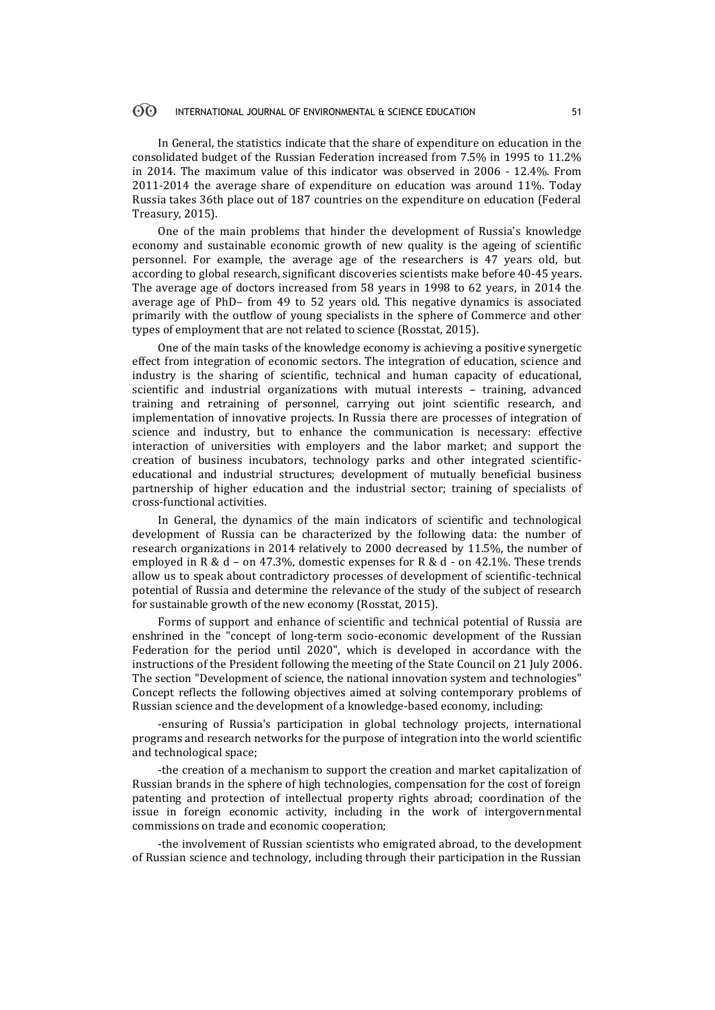#### $\Theta$ INTERNATIONAL JOURNAL OF ENVIRONMENTAL & SCIENCE EDUCATION 51

In General, the statistics indicate that the share of expenditure on education in the consolidated budget of the Russian Federation increased from 7.5% in 1995 to 11.2% in 2014. The maximum value of this indicator was observed in 2006 - 12.4%. From 2011-2014 the average share of expenditure on education was around 11%. Today Russia takes 36th place out of 187 countries on the expenditure on education (Federal Treasury, 2015).

One of the main problems that hinder the development of Russia's knowledge economy and sustainable economic growth of new quality is the ageing of scientific personnel. For example, the average age of the researchers is 47 years old, but according to global research, significant discoveries scientists make before 40-45 years. The average age of doctors increased from 58 years in 1998 to 62 years, in 2014 the average age of PhD– from 49 to 52 years old. This negative dynamics is associated primarily with the outflow of young specialists in the sphere of Commerce and other types of employment that are not related to science (Rosstat, 2015).

One of the main tasks of the knowledge economy is achieving a positive synergetic effect from integration of economic sectors. The integration of education, science and industry is the sharing of scientific, technical and human capacity of educational, scientific and industrial organizations with mutual interests – training, advanced training and retraining of personnel, carrying out joint scientific research, and implementation of innovative projects. In Russia there are processes of integration of science and industry, but to enhance the communication is necessary: effective interaction of universities with employers and the labor market; and support the creation of business incubators, technology parks and other integrated scientificeducational and industrial structures; development of mutually beneficial business partnership of higher education and the industrial sector; training of specialists of cross-functional activities.

In General, the dynamics of the main indicators of scientific and technological development of Russia can be characterized by the following data: the number of research organizations in 2014 relatively to 2000 decreased by 11.5%, the number of employed in R &  $d$  – on 47.3%, domestic expenses for R &  $d$  - on 42.1%. These trends allow us to speak about contradictory processes of development of scientific-technical potential of Russia and determine the relevance of the study of the subject of research for sustainable growth of the new economy (Rosstat, 2015).

Forms of support and enhance of scientific and technical potential of Russia are enshrined in the "concept of long-term socio-economic development of the Russian Federation for the period until 2020", which is developed in accordance with the instructions of the President following the meeting of the State Council on 21 July 2006. The section "Development of science, the national innovation system and technologies" Concept reflects the following objectives aimed at solving contemporary problems of Russian science and the development of a knowledge-based economy, including:

-ensuring of Russia's participation in global technology projects, international programs and research networks for the purpose of integration into the world scientific and technological space;

-the creation of a mechanism to support the creation and market capitalization of Russian brands in the sphere of high technologies, compensation for the cost of foreign patenting and protection of intellectual property rights abroad; coordination of the issue in foreign economic activity, including in the work of intergovernmental commissions on trade and economic cooperation;

-the involvement of Russian scientists who emigrated abroad, to the development of Russian science and technology, including through their participation in the Russian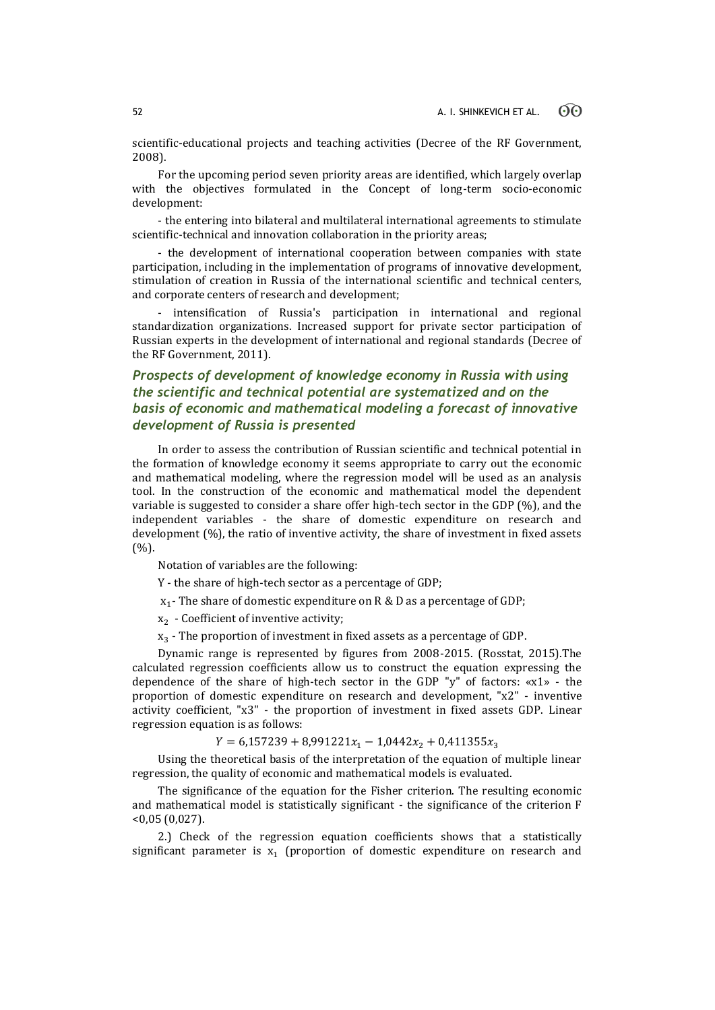scientific-educational projects and teaching activities (Decree of the RF Government, 2008).

For the upcoming period seven priority areas are identified, which largely overlap with the objectives formulated in the Concept of long-term socio-economic development:

- the entering into bilateral and multilateral international agreements to stimulate scientific-technical and innovation collaboration in the priority areas;

- the development of international cooperation between companies with state participation, including in the implementation of programs of innovative development, stimulation of creation in Russia of the international scientific and technical centers, and corporate centers of research and development;

- intensification of Russia's participation in international and regional standardization organizations. Increased support for private sector participation of Russian experts in the development of international and regional standards (Decree of the RF Government, 2011).

# *Prospects of development of knowledge economy in Russia with using the scientific and technical potential are systematized and on the basis of economic and mathematical modeling a forecast of innovative development of Russia is presented*

In order to assess the contribution of Russian scientific and technical potential in the formation of knowledge economy it seems appropriate to carry out the economic and mathematical modeling, where the regression model will be used as an analysis tool. In the construction of the economic and mathematical model the dependent variable is suggested to consider a share offer high-tech sector in the GDP (%), and the independent variables - the share of domestic expenditure on research and development (%), the ratio of inventive activity, the share of investment in fixed assets  $(%).$ 

Notation of variables are the following:

Y - the share of high-tech sector as a percentage of GDP;

 $\mathrm{x}_\mathrm{1}\mathrm{\cdot}$  The share of domestic expenditure on R & D as a percentage of GDP;

 $x_2$  - Coefficient of inventive activity;

 $x_3$  - The proportion of investment in fixed assets as a percentage of GDP.

Dynamic range is represented by figures from 2008-2015. (Rosstat, 2015).The calculated regression coefficients allow us to construct the equation expressing the dependence of the share of high-tech sector in the GDP "y" of factors: «x1» - the proportion of domestic expenditure on research and development, "x2" - inventive activity coefficient, "x3" - the proportion of investment in fixed assets GDP. Linear regression equation is as follows:

 $Y = 6,157239 + 8,991221x_1 - 1,0442x_2 + 0,411355x_3$ 

Using the theoretical basis of the interpretation of the equation of multiple linear regression, the quality of economic and mathematical models is evaluated.

The significance of the equation for the Fisher criterion. The resulting economic and mathematical model is statistically significant - the significance of the criterion F <0,05 (0,027).

2.) Check of the regression equation coefficients shows that a statistically significant parameter is  $x_1$  (proportion of domestic expenditure on research and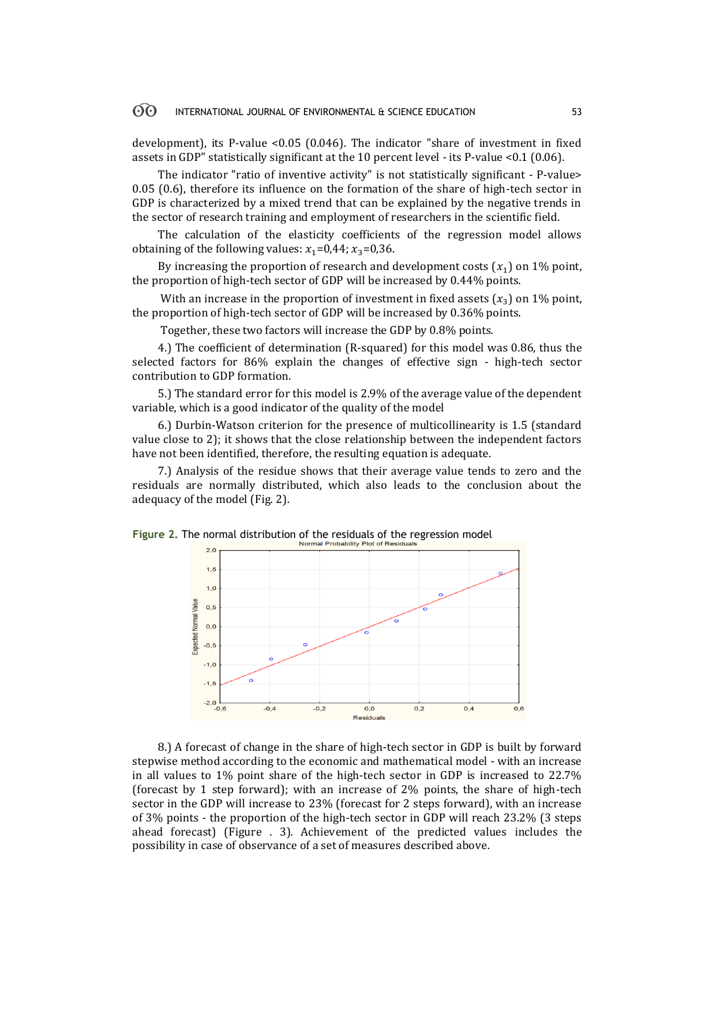#### 60 INTERNATIONAL JOURNAL OF ENVIRONMENTAL & SCIENCE EDUCATION 53

development), its P-value <0.05 (0.046). The indicator "share of investment in fixed assets in GDP" statistically significant at the 10 percent level - its P-value <0.1 (0.06).

The indicator "ratio of inventive activity" is not statistically significant - P-value> 0.05 (0.6), therefore its influence on the formation of the share of high-tech sector in GDP is characterized by a mixed trend that can be explained by the negative trends in the sector of research training and employment of researchers in the scientific field.

The calculation of the elasticity coefficients of the regression model allows obtaining of the following values:  $x_1=0,44$ ;  $x_3=0,36$ .

By increasing the proportion of research and development costs  $(x_1)$  on 1% point, the proportion of high-tech sector of GDP will be increased by 0.44% points.

With an increase in the proportion of investment in fixed assets  $(x_3)$  on 1% point, the proportion of high-tech sector of GDP will be increased by 0.36% points.

Together, these two factors will increase the GDP by 0.8% points.

4.) The coefficient of determination (R-squared) for this model was 0.86, thus the selected factors for 86% explain the changes of effective sign - high-tech sector contribution to GDP formation.

5.) The standard error for this model is 2.9% of the average value of the dependent variable, which is a good indicator of the quality of the model

6.) Durbin-Watson criterion for the presence of multicollinearity is 1.5 (standard value close to 2); it shows that the close relationship between the independent factors have not been identified, therefore, the resulting equation is adequate.

7.) Analysis of the residue shows that their average value tends to zero and the residuals are normally distributed, which also leads to the conclusion about the adequacy of the model (Fig. 2).





8.) A forecast of change in the share of high-tech sector in GDP is built by forward stepwise method according to the economic and mathematical model - with an increase in all values to 1% point share of the high-tech sector in GDP is increased to 22.7% (forecast by 1 step forward); with an increase of 2% points, the share of high-tech sector in the GDP will increase to 23% (forecast for 2 steps forward), with an increase of 3% points - the proportion of the high-tech sector in GDP will reach 23.2% (3 steps ahead forecast) (Figure . 3). Achievement of the predicted values includes the possibility in case of observance of a set of measures described above.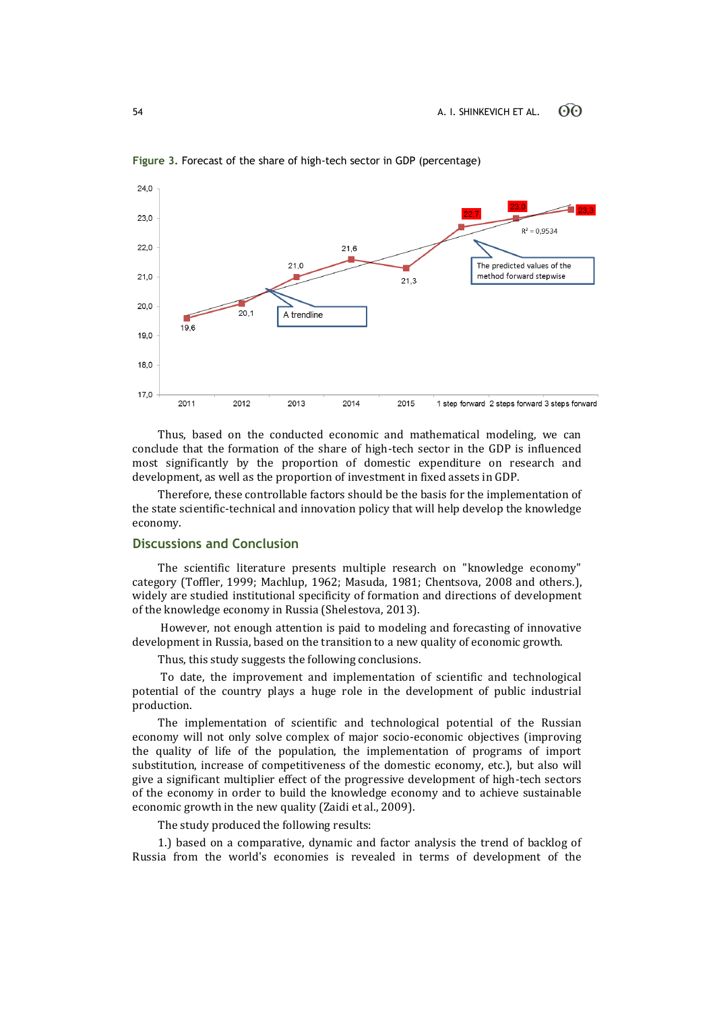

**Figure 3.** Forecast of the share of high-tech sector in GDP (percentage)

Thus, based on the conducted economic and mathematical modeling, we can conclude that the formation of the share of high-tech sector in the GDP is influenced most significantly by the proportion of domestic expenditure on research and development, as well as the proportion of investment in fixed assets in GDP.

Therefore, these controllable factors should be the basis for the implementation of the state scientific-technical and innovation policy that will help develop the knowledge economy.

# **Discussions and Conclusion**

The scientific literature presents multiple research on "knowledge economy" category (Toffler, 1999; Machlup, 1962; Masuda, 1981; Chentsova, 2008 and others.), widely are studied institutional specificity of formation and directions of development of the knowledge economy in Russia (Shelestova, 2013).

However, not enough attention is paid to modeling and forecasting of innovative development in Russia, based on the transition to a new quality of economic growth.

Thus, this study suggests the following conclusions.

To date, the improvement and implementation of scientific and technological potential of the country plays a huge role in the development of public industrial production.

The implementation of scientific and technological potential of the Russian economy will not only solve complex of major socio-economic objectives (improving the quality of life of the population, the implementation of programs of import substitution, increase of competitiveness of the domestic economy, etc.), but also will give a significant multiplier effect of the progressive development of high-tech sectors of the economy in order to build the knowledge economy and to achieve sustainable economic growth in the new quality (Zaidi et al., 2009).

The study produced the following results:

1.) based on a comparative, dynamic and factor analysis the trend of backlog of Russia from the world's economies is revealed in terms of development of the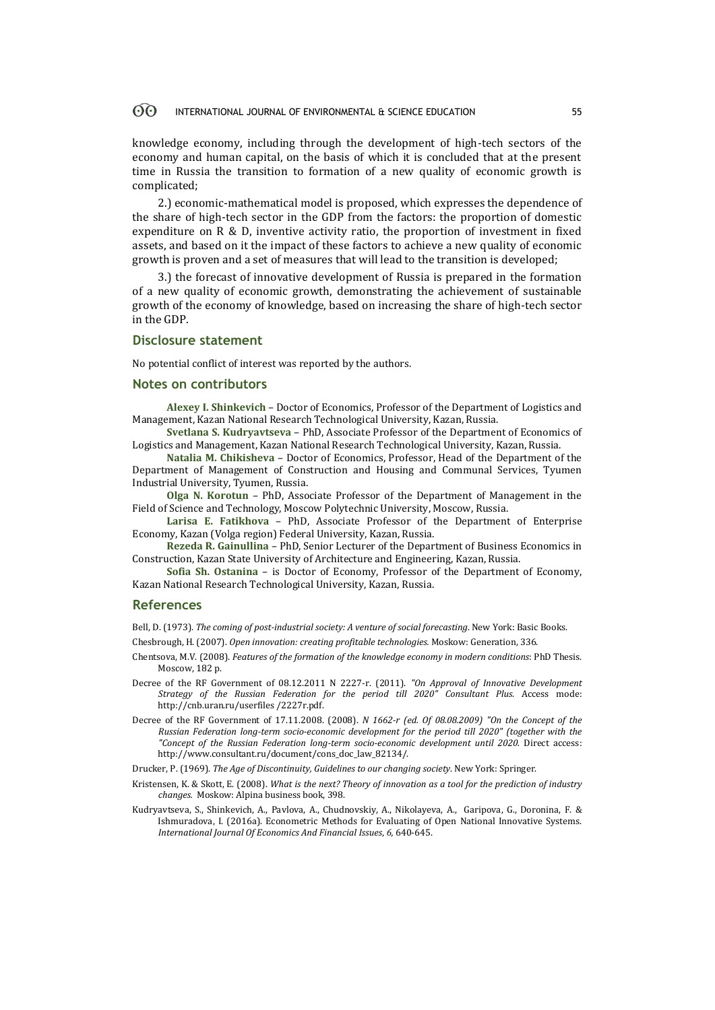#### 60 INTERNATIONAL JOURNAL OF ENVIRONMENTAL & SCIENCE EDUCATION 55

knowledge economy, including through the development of high-tech sectors of the economy and human capital, on the basis of which it is concluded that at the present time in Russia the transition to formation of a new quality of economic growth is complicated;

2.) economic-mathematical model is proposed, which expresses the dependence of the share of high-tech sector in the GDP from the factors: the proportion of domestic expenditure on R & D, inventive activity ratio, the proportion of investment in fixed assets, and based on it the impact of these factors to achieve a new quality of economic growth is proven and a set of measures that will lead to the transition is developed;

3.) the forecast of innovative development of Russia is prepared in the formation of a new quality of economic growth, demonstrating the achievement of sustainable growth of the economy of knowledge, based on increasing the share of high-tech sector in the GDP.

### **Disclosure statement**

No potential conflict of interest was reported by the authors.

#### **Notes on contributors**

**Alexey I. Shinkevich** – Doctor of Economics, Professor of the Department of Logistics and Management, Kazan National Research Technological University, Kazan, Russia.

**Svetlana S. Kudryavtseva** – PhD, Associate Professor of the Department of Economics of Logistics and Management, Kazan National Research Technological University, Kazan, Russia.

**Natalia M. Chikisheva** – Doctor of Economics, Professor, Head of the Department of the Department of Management of Construction and Housing and Communal Services, Tyumen Industrial University, Tyumen, Russia.

**Olga N. Korotun** – PhD, Associate Professor of the Department of Management in the Field of Science and Technology, Moscow Polytechnic University, Moscow, Russia.

**Larisa E. Fatikhova** – PhD, Associate Professor of the Department of Enterprise Economy, Kazan (Volga region) Federal University, Kazan, Russia.

**Rezeda R. Gainullina** – PhD, Senior Lecturer of the Department of Business Economics in Construction, Kazan State University of Architecture and Engineering, Kazan, Russia.

**Sofia Sh. Ostanina** – is Doctor of Economy, Professor of the Department of Economy, Kazan National Research Technological University, Kazan, Russia.

#### **References**

Bell, D. (1973). *The coming of post-industrial society: A venture of social forecasting*. New York[: Basic Books.](https://ru.wikipedia.org/wiki/Basic_Books)

Chesbrough, H. (2007). *Open innovation: creating profitable technologies.* Мoskow: Generation, 336.

- Chentsova, M.V. (2008). *Features of the formation of the knowledge economy in modern conditions*: PhD Thesis. Moscow, 182 p.
- Decree of the RF Government of 08.12.2011 N 2227-r. (2011). *"On Approval of Innovative Development Strategy of the Russian Federation for the period till 2020" Consultant Plus*. Access mode: http://cnb.uran.ru/userfiles /2227r.pdf.
- Decree of the RF Government of 17.11.2008. (2008). *N 1662-r (ed. Of 08.08.2009) "On the Concept of the Russian Federation long-term socio-economic development for the period till 2020" (together with the "Concept of the Russian Federation long-term socio-economic development until 2020.* Direct access: http://www.consultant.ru/document/cons\_doc\_law\_82134/.

Drucker, P. (1969). *The Age of Discontinuity, Guidelines to our changing society*. New York: Springer.

- Kristensen, K. & Skott, E. (2008). *What is the next? Theory of innovation as a tool for the prediction of industry changes.* Мoskow: Alpina business book, 398.
- Kudryavtseva, S., Shinkevich, A., Pavlova, A., Chudnovskiy, A., Nikolayeva, A., Garipova, G., Doronina, F. & Ishmuradova, I. (2016a). Econometric Methods for Evaluating of Open National Innovative Systems. *International Journal Of Economics And Financial Issues*, *6,* 640-645.